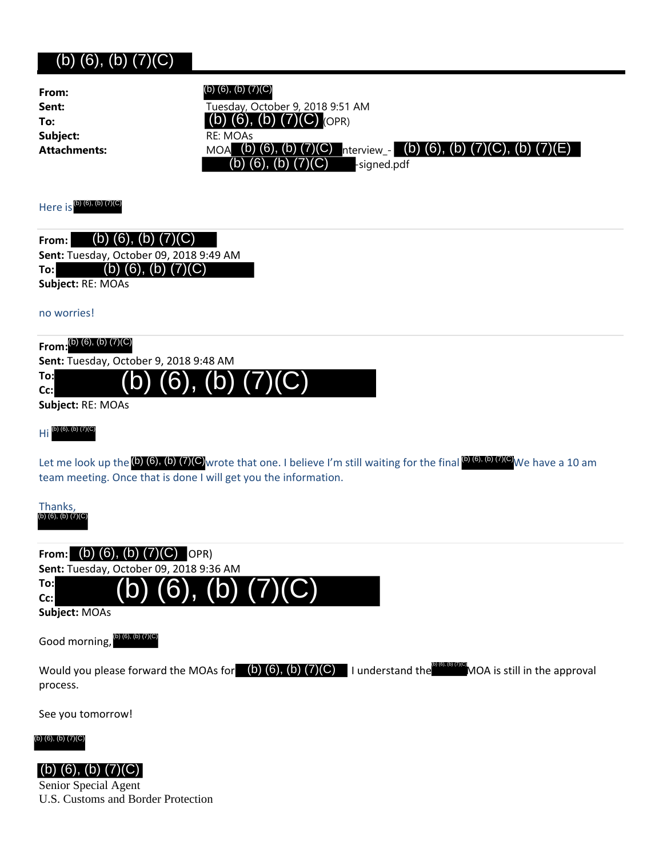## $(h)(6)$ ,  $(h)(7)(C)$

| (0, 0), (0, 0)                                                                                                                                  |                                                                                                                                                                                                                              |
|-------------------------------------------------------------------------------------------------------------------------------------------------|------------------------------------------------------------------------------------------------------------------------------------------------------------------------------------------------------------------------------|
| From:<br>Sent:<br>To:<br>Subject:<br><b>Attachments:</b>                                                                                        | (b) (6), (b) (7)(C)<br>Tuesday, October 9, 2018 9:51 AM<br>$(6)$ , $(b)$ $(7)(C)$ (OPR)<br>RE: MOAs<br>MOA (b) (6), (b) (7)(C) nterview_- (b) (6), (b) (7)(C), (b)<br>(7)(E)<br>$(6)$ , $(b)$ $(7)(C)$<br>-signed.pdf<br>(b) |
| Here is (b) (6), (b) (7)(C)                                                                                                                     |                                                                                                                                                                                                                              |
| (b) $(6)$ , $(b)$ $(7)(C)$<br>From:<br>Sent: Tuesday, October 09, 2018 9:49 AM<br>(b) $(6)$ , $(b)$ $(7)(C)$<br>To:<br>Subject: RE: MOAs        |                                                                                                                                                                                                                              |
| no worries!                                                                                                                                     |                                                                                                                                                                                                                              |
| From: $(b)$ (6), (b) (7)(C)<br>Sent: Tuesday, October 9, 2018 9:48 AM<br>To:<br>Cc:<br>Subject: RE: MOAs<br>$Hi$ <sup>(b) (6), (b) (7)(C)</sup> | (b) $(7)$<br>Let me look up the $(6)$ (6), (b) (7)(C) wrote that one. I believe I'm still waiting for the final $(6)$ (6), (b) (7)(C) We have a 10 am                                                                        |
| team meeting. Once that is done I will get you the information.<br>Thanks,<br>(b) (6), (b) (7)(C)                                               |                                                                                                                                                                                                                              |
| From: (b) (6), (b) $(7)(C)$ OPR)<br>Sent: Tuesday, October 09, 2018 9:36 AM<br>To:<br>Cc:<br>Subject: MOAs<br>Good morning, (b) (6), (b) (7)(C) | (b) (6), (b) $(\overline{7})(\overline{C})$                                                                                                                                                                                  |
|                                                                                                                                                 |                                                                                                                                                                                                                              |

Would you please forward the MOAs for (b) (6), (b) (7)(C) I understand the  $^{\circ}$  MOA is still in the approval process.

See you tomorrow!

(b) (6), (b) (7)(C)



U.S. Customs and Border Protection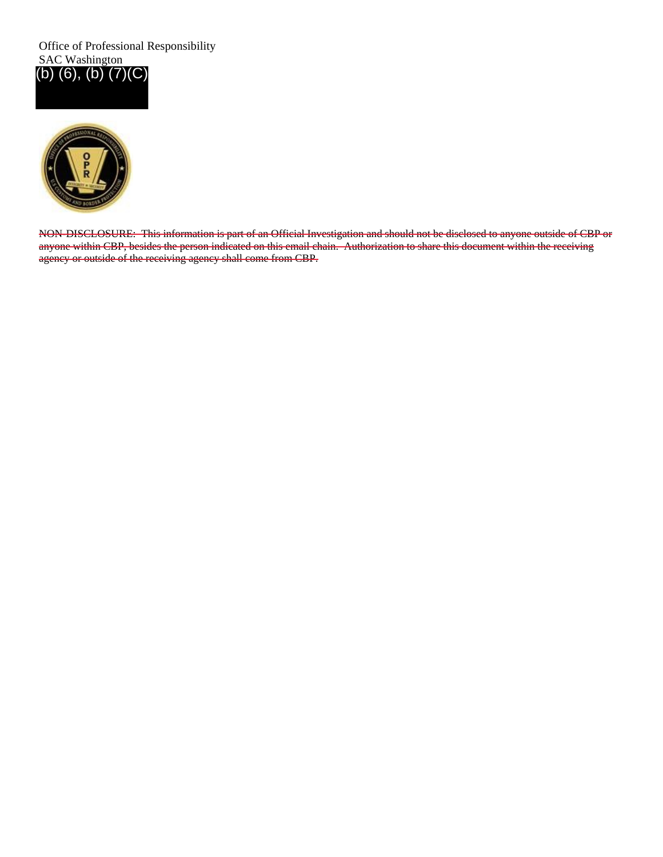Office of Professional Responsibility SAC Washington (b) (6), (b) (7)(C)



NON-DISCLOSURE: This information is part of an Official Investigation and should not be disclosed to anyone outside of CBP or anyone within CBP, besides the person indicated on this email chain. Authorization to share this document within the receiving agency or outside of the receiving agency shall come from CBP.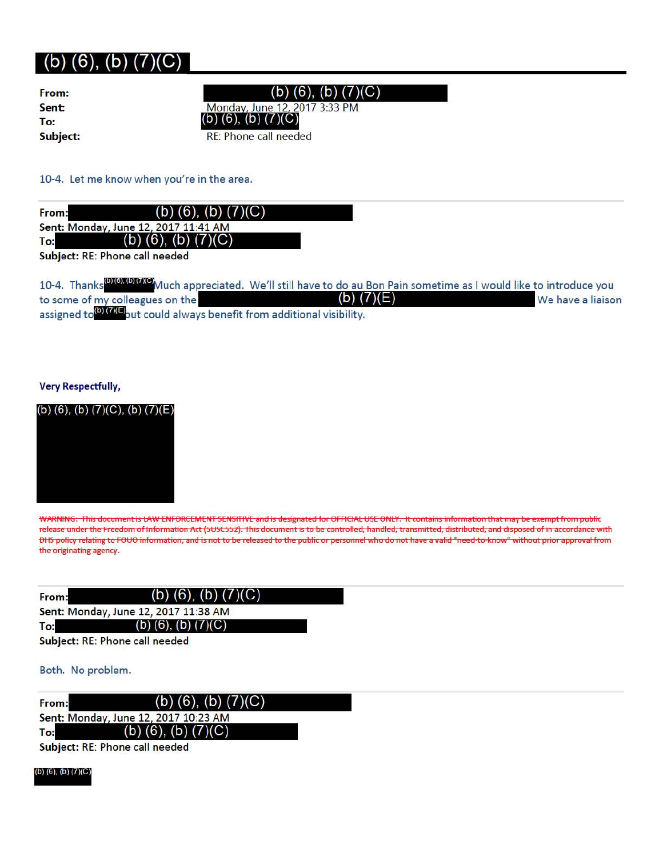| From:    |  |
|----------|--|
| Sent:    |  |
| To:      |  |
| Subject: |  |

 $(b)$  (6), (b) (7)(C)

Monday, June 12, 2017 3:33 PM **70:** (b) (6), (b) (7)(C)<br> **Subject:** RE: Phone call needed

10-4. Let me know when you're in the area.

From: (b) (6), (b)  $(7)(C)$ Sent: Monday, June 12, 2017 11:41 AM (b)  $(\overline{6})$ , (b)  $(7)(C)$ To:

Subject: RE: Phone call needed

10-4. Thanks<sup>(b) (6), (b) (7)(C<mark>)</mark>Much ap<u>preciated. We'll still have to do au Bon Pain sometime as I would like to introduce you</sup></u> to some of my colleagues on the  $\qquad \qquad \textbf{(b)} \textbf{(7)} \textbf{(E)}$  We have a liaison assigned to<sup>(b)</sup> (7)<sup>(b</sup>) out could always benefit from additional visibility.

#### **Very Respectfully,**

(b) (6), (b)  $(7)(C)$ , (b)  $(7)(E)$ 



WARNING: This document is LAW ENFORCEMENT SENSITIVE and is designated for OFFICIAL USE ONLY. It contains information that may be exempt from public release under the Freedom of Information Act (5USC552). This document is to be controlled, handled, transmitted, distributed, and disposed of in accordance with OHS policy relating to FOUO information, and is not to be released to the public or personnel who do not have a valid "need-to-know" without prior approval from the originating agency.

| From: | (b) $(6)$ , $(b)$ $(7)(C)$           |  |
|-------|--------------------------------------|--|
|       | Sent: Monday, June 12, 2017 11:38 AM |  |
| To:   | (b) $(6)$ , $(b)$ $(7)(C)$           |  |
|       | Cubinati DE: Dhana sall nonded       |  |

Subject: RE: Phone call needed

#### Both. No problem.

| From: | (b) $(6)$ , $(b)$ $(7)(C)$           |
|-------|--------------------------------------|
|       | Sent: Monday, June 12, 2017 10:23 AM |
| To:   | (b) (6), (b) $(7)(C)$                |
|       | Subject: RE: Phone call needed       |

(b) (6), (b)  $(7)(C)$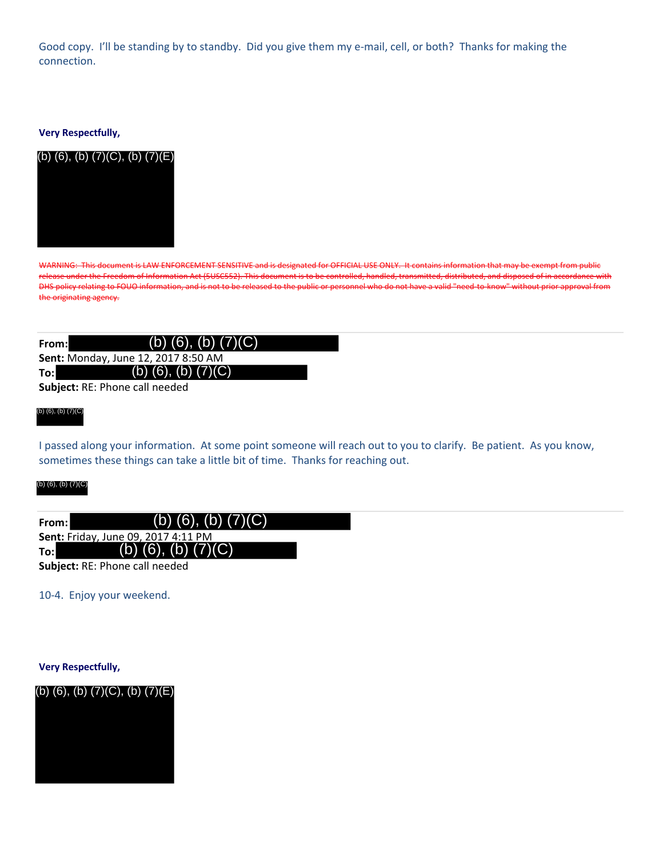Good copy. I'll be standing by to standby. Did you give them my e‐mail, cell, or both? Thanks for making the connection.

#### **Very Respectfully,**



WARNING: This document is LAW ENFORCEMENT SENSITIVE and is designated for OFFICIAL USE ONLY. It contains information that may be exempt from public release under the Freedom of Information Act (5USC552). This document is to be controlled, handled, transmitted, distributed, and disposed of in accordance with DHS policy relating to FOUO information, and is not to be released to the public or personnel who do not have a valid "need to know" without prior approval from the originating agency.

| From:                          | (b) $(6)$ , $(b)$ $(7)(C)$          |  |
|--------------------------------|-------------------------------------|--|
|                                | Sent: Monday, June 12, 2017 8:50 AM |  |
| To:l                           | (b) (6), (b) $(7)(C)$               |  |
| Subject: RE: Phone call needed |                                     |  |

#### (b) (6), (b) (7)(C)

I passed along your information. At some point someone will reach out to you to clarify. Be patient. As you know, sometimes these things can take a little bit of time. Thanks for reaching out.

#### (b) (6), (b) (7)(C)

| From: l | (b) $(6)$ , $(b)$ $(7)(C)$                 |  |
|---------|--------------------------------------------|--|
|         | <b>Sent: Friday, June 09, 2017 4:11 PM</b> |  |
| To:l    | (b) $(6)$ , $(b)$ $(7)(C)$                 |  |
|         | <b>Subject: RE: Phone call needed</b>      |  |

10‐4. Enjoy your weekend.

**Very Respectfully,**

(b) (6), (b) (7)(C), (b) (7)(E)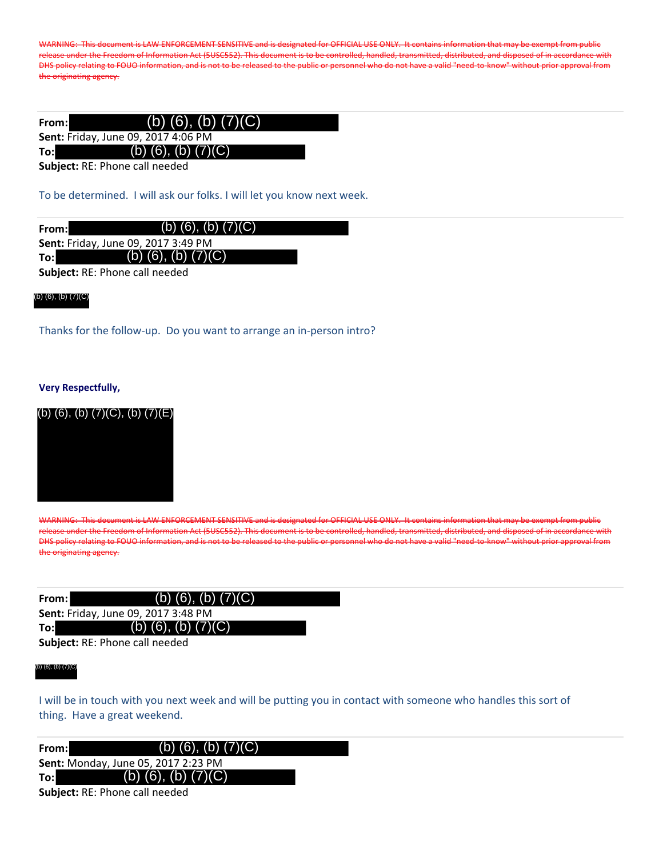WARNING: This document is LAW ENFORCEMENT SENSITIVE and is designated for OFFICIAL USE ONLY. It contains information that may be exempt from public release under the Freedom of Information Act (5USC552). This document is to be controlled, handled, transmitted, distributed, and disposed of in accordance with DHS policy relating to FOUO information, and is not to be released to the public or personnel who do not have a valid "need to know" without prior approval from the originating agency.

| From:l | (b) (6), (b) $(7)(C)$               |  |
|--------|-------------------------------------|--|
|        | Sent: Friday, June 09, 2017 4:06 PM |  |
| To:    | (b) $(6)$ , $(b)$ $(7)(C)$          |  |
|        | Cubinatu DE: Dhaira sall isaaalaal  |  |

**Subject:** RE: Phone call needed

To be determined. I will ask our folks. I will let you know next week.

| From:l                                     | (b) (6), (b) $(7)(C)$      |  |
|--------------------------------------------|----------------------------|--|
| <b>Sent: Friday, June 09, 2017 3:49 PM</b> |                            |  |
| To:l                                       | (b) $(6)$ , $(b)$ $(7)(C)$ |  |

**Subject:** RE: Phone call needed

#### (b) (6), (b) (7)(C)

Thanks for the follow-up. Do you want to arrange an in-person intro?

#### **Very Respectfully,**





WARNING: This document is LAW ENFORCEMENT SENSITIVE and is designated for OFFICIAL USE ONLY. It contains information that may be exempt from public release under the Freedom of Information Act (5USC552). This document is to be controlled, handled, transmitted, distributed, and disposed of in accordance with DHS policy relating to FOUO information, and is not to be released to the public or personnel who do not have a valid "need‐to‐know" without prior approval from the originating agency.

| From: l | (b) $(6)$ , $(b)$ $(7)(C)$          |  |
|---------|-------------------------------------|--|
|         | Sent: Friday, June 09, 2017 3:48 PM |  |
| To:l    | (b) (6), (b) $(7)(C)$               |  |
|         |                                     |  |

**Subject:** RE: Phone call needed

#### (b) (6), (b) (7)(C)

I will be in touch with you next week and will be putting you in contact with someone who handles this sort of thing. Have a great weekend.

| From:                          | (b) $(6)$ , $(b)$ $(7)(C)$                 |  |
|--------------------------------|--------------------------------------------|--|
|                                | <b>Sent: Monday, June 05, 2017 2:23 PM</b> |  |
| To:l                           | (b) $(6)$ , $(b)$ $(7)(C)$                 |  |
| Subject: RE: Phone call needed |                                            |  |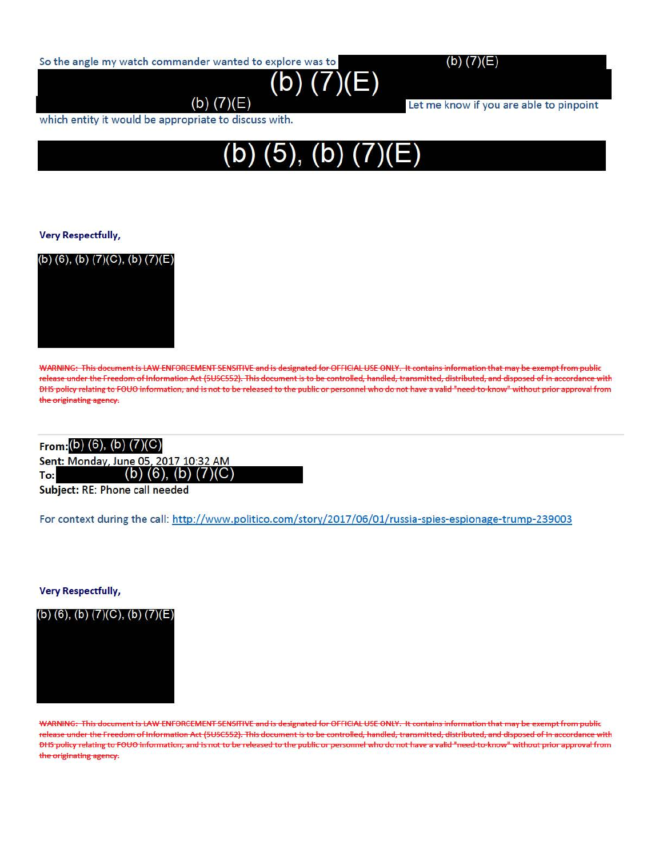So the angle my watch commander wanted to explore was to

(b) (7)(E)



Let me know if you are able to pinpoint

which entity it would be appropriate to discuss with.



**(b) (7)(E)** 

#### **Very Respectfully,**



WARNING: This document is LAW ENFORCEMENT SENSITIVE and is designated for OFFICIAL USE ONLY. It contains information that may be exempt from public release under the Freedom of Information Act (5USC552). This document is to be controlled, handled, transmitted, distributed, and disposed of in accordance with OHS policy relat ing to FOUO information, and is not to be released to the public or personnel who do not have a valid " need-to-know" without prior approval from the originating agency.

#### **From:** (b) (6), (b) (7)(C)

Sent: Monday, June 05, 2017 10:32 AM

(b)  $(6)$ ,  $(b)$   $(7)(C)$ **To:** 

Subject: RE: Phone call needed

For context during the call: http://www.politico.com/story/2017 /06/0l/russia-spies-espionage-trump-239003

**Very Respectfully,** 

(b) (6), (b)  $(7)(C)$ , (b)  $(7)(E)$ 

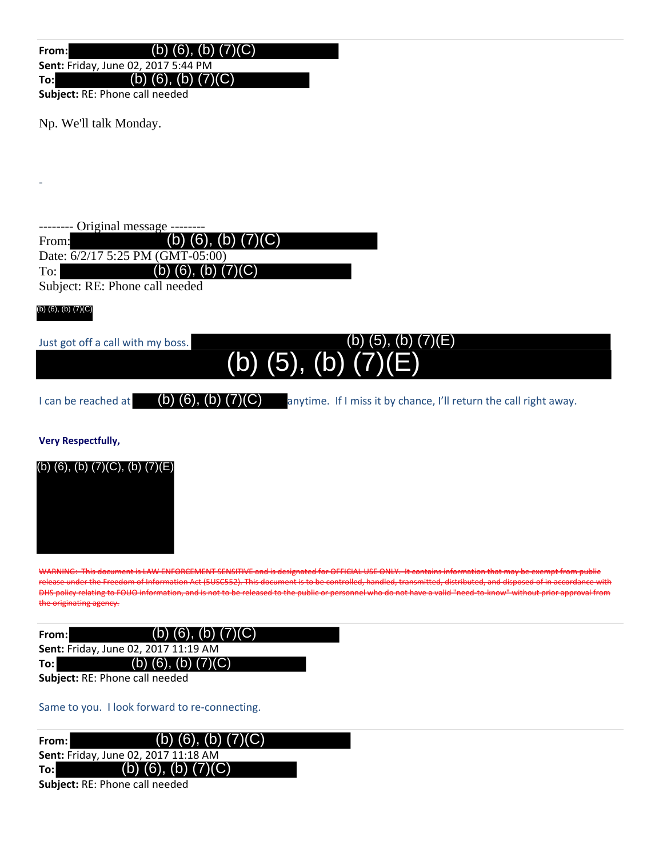**From:**  $(b)$  (6), (b) (7)(C)

**Sent:** Friday, June 02, 2017 5:44 PM

**To:** (b) (6), (b) (7)(C)

**Subject:** RE: Phone call needed

Np. We'll talk Monday.

-- Original message -From: Date: 6/2/17 5:25 PM (GMT-05:00) To: (b) (6), (b) (7)(C) (b) (6), (b) (7)(C)

Subject: RE: Phone call needed

#### (b) (6), (b) (7)(C)

-

Just got off a call with my boss.

## (b) (5), (b) (7)(E)  $\overline{(b)}$  $\overline{(5)}$ ,  $\overline{(b)}$  $\overline{(7)}$

I can be reached at  $\qquad$  (b) (6), (b) (7)(C) anytime. If I miss it by chance, I'll return the call right away.

**Very Respectfully,**



WARNING: This document is LAW ENFORCEMENT SENSITIVE and is designated for OFFICIAL USE ONLY. It contains information that may be exempt from public release under the Freedom of Information Act (5USC552). This document is to be controlled, handled, transmitted, distributed, and disposed of in accordance with DHS policy relating to FOUO information, and is not to be released to the public or personnel who do not have a valid "need to know" without prior approval from the originating agency.

| From:l                               | (b) $(6)$ , (b) $(7)(C)$ |
|--------------------------------------|--------------------------|
| Sent: Friday, June 02, 2017 11:19 AM |                          |
| To:l                                 | (b) (6), (b) $(7)(C)$    |
|                                      |                          |

**Subject:** RE: Phone call needed

Same to you. I look forward to re-connecting.

| From: | (b) $(6)$ , $(b)$ $(7)(C)$                  |  |
|-------|---------------------------------------------|--|
|       | <b>Sent: Friday, June 02, 2017 11:18 AM</b> |  |
| To:l  | (b) (6), (b) $(7)(C)$                       |  |
|       | <b>Subject:</b> RE: Phone call needed       |  |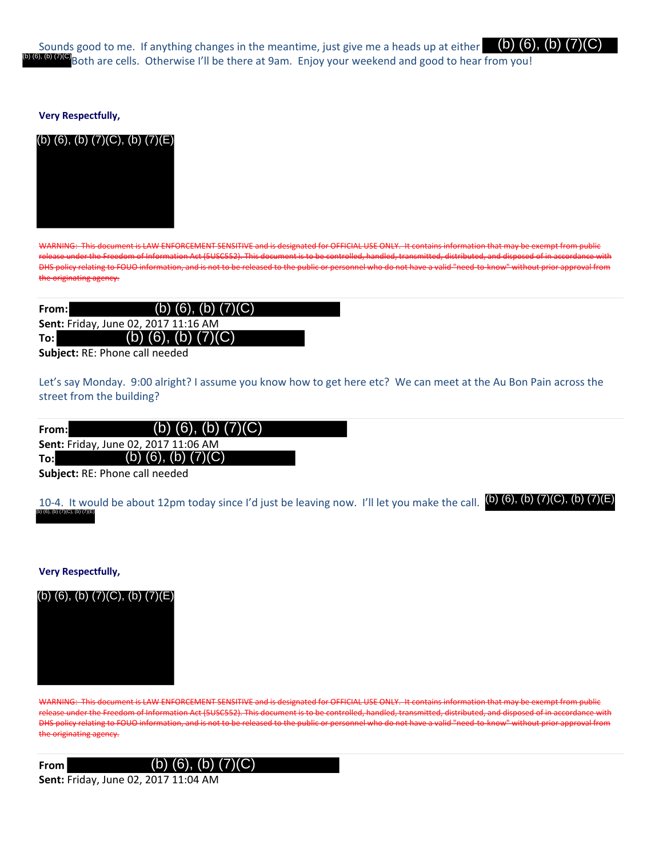Sounds good to me. If anything changes in the meantime, just give me a heads up at either (b) (6), (b) (7)(O Both are cells. Otherwise I'll be there at 9am. Enjoy your weekend and good to hear from you! (b) (6), (b) (7)(C)

#### **Very Respectfully,**

#### (b) (6), (b) (7)(C), (b) (7)(E)



WARNING: This document is LAW ENFORCEMENT SENSITIVE and is designated for OFFICIAL USE ONLY. It contains information that may be exempt from public release under the Freedom of Information Act (5USC552). This document is to be controlled, handled, transmitted, distributed, and disposed of in accordance with DHS policy relating to FOUO information, and is not to be released to the public or personnel who do not have a valid "need to know" without prior approval from the originating agency.

| From: | (b) $(\overline{6})$ , (b) $(7)(C)$  |  |
|-------|--------------------------------------|--|
|       | Sent: Friday, June 02, 2017 11:16 AM |  |
| To:l  | (b) $(6)$ , $(b)$ $(7)(C)$           |  |
|       |                                      |  |

**Subject:** RE: Phone call needed

Let's say Monday. 9:00 alright? I assume you know how to get here etc? We can meet at the Au Bon Pain across the street from the building?

| From:         | (b) $(6)$ , $(b)$ $(7)(C)$           |  |
|---------------|--------------------------------------|--|
|               | Sent: Friday, June 02, 2017 11:06 AM |  |
| To:l          | (b) $(6)$ , $(b)$ $(7)(C)$           |  |
| - - - - - - - |                                      |  |

**Subject:** RE: Phone call needed

10-4. It would be about 12pm today since I'd just be leaving now. I'll let you make the call. (b) (6), (b) (7)(C), (b) (7)(E) (b) (6), (b) (7)(C), (b) (7)(E)

#### **Very Respectfully,**



WARNING: This document is LAW ENFORCEMENT SENSITIVE and is designated for OFFICIAL USE ONLY. It contains information that may be exempt from public release under the Freedom of Information Act (5USC552). This document is to be controlled, handled, transmitted, distributed, and disposed of in accordance with DHS policy relating to FOUO information, and is not to be released to the public or personnel who do not have a valid "need to know" without prior approval from the originating agency.

#### **From** (b) (6), (b) (7)(C)

**Sent:** Friday, June 02, 2017 11:04 AM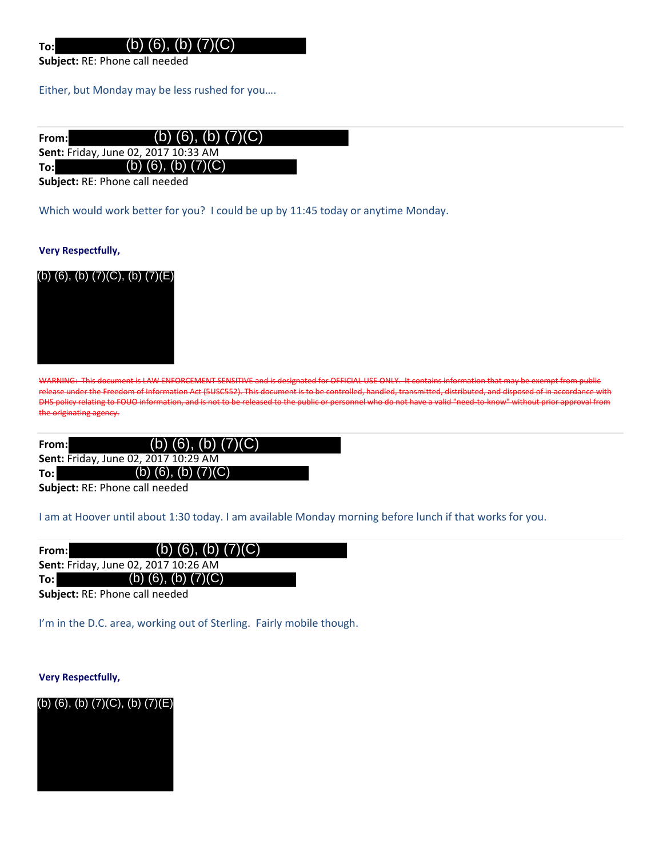**Subject:** RE: Phone call needed

**To:**

Either, but Monday may be less rushed for you….

| From:l                                      | (b) $(6)$ , $(b)$ $(7)(C)$ |  |
|---------------------------------------------|----------------------------|--|
| <b>Sent: Friday, June 02, 2017 10:33 AM</b> |                            |  |
| To:l                                        | (b) $(6)$ , $(b)$ $(7)(C)$ |  |
| Subject: RE: Phone call needed              |                            |  |

Which would work better for you? I could be up by 11:45 today or anytime Monday.

#### **Very Respectfully,**



WARNING: This document is LAW ENFORCEMENT SENSITIVE and is designated for OFFICIAL USE ONLY. It contains information that may be exempt from public release under the Freedom of Information Act (5USC552). This document is to be controlled, handled, transmitted, distributed, and disposed of in accordance with DHS policy relating to FOUO information, and is not to be released to the public or personnel who do not have a valid "need to know" without prior approval from the originating agency.

| From: | (b) $(6)$ , $(b)$ $(7)(C)$                  |
|-------|---------------------------------------------|
|       | <b>Sent: Friday, June 02, 2017 10:29 AM</b> |
| To:l  | (b) $(6)$ , $(b)$ $(7)(C)$                  |

**Subject:** RE: Phone call needed

I am at Hoover until about 1:30 today. I am available Monday morning before lunch if that works for you.

| From:l                         | (b) $(6)$ , $(b)$ $(7)(C)$           |  |
|--------------------------------|--------------------------------------|--|
|                                | Sent: Friday, June 02, 2017 10:26 AM |  |
| To: l                          | (b) $(6)$ , $(b)$ $(7)(C)$           |  |
| Cubicat: DE: Dhono coll noodod |                                      |  |

**Subject:** RE: Phone call needed

I'm in the D.C. area, working out of Sterling. Fairly mobile though.

**Very Respectfully,**

(b) (6), (b) (7)(C), (b) (7)(E)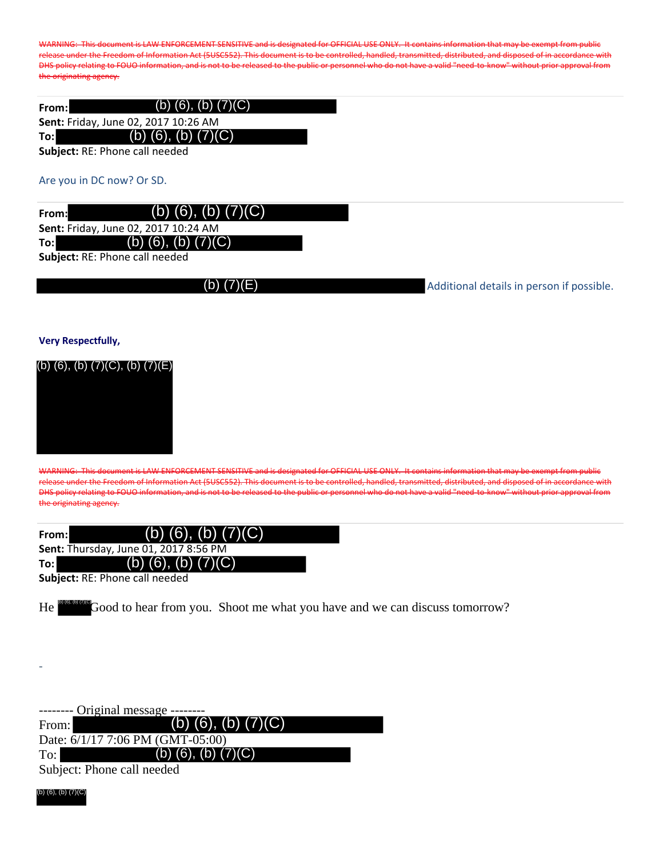WARNING: This document is LAW ENFORCEMENT SENSITIVE and is designated for OFFICIAL USE ONLY. It contains information that may be exempt from public release under the Freedom of Information Act (5USC552). This document is to be controlled, handled, transmitted, distributed, and disposed of in accordance with DHS policy relating to FOUO information, and is not to be released to the public or personnel who do not have a valid "need-to-know" without prior approval from the originating agency.

| From:                          | (b) $(6)$ , $(b)$ $(7)(C)$           |  |  |
|--------------------------------|--------------------------------------|--|--|
|                                | Sent: Friday, June 02, 2017 10:26 AM |  |  |
| To:l                           | (b) $(6)$ , $(b)$ $(7)(C)$           |  |  |
| Subject: RE: Phone call needed |                                      |  |  |

#### Are you in DC now? Or SD.

**From: Sent:** Friday, June 02, 2017 10:24 AM **To:** (b) (6), (b) (7)(C) (b) (6), (b) (7)(C)

**Subject:** RE: Phone call needed

(b) (7)(E)

Additional details in person if possible.

**Very Respectfully,**



WARNING: This document is LAW ENFORCEMENT SENSITIVE and is designated for OFFICIAL USE ONLY. It contains information that may be exempt from public release under the Freedom of Information Act (5USC552). This document is to be controlled, handled, transmitted, distributed, and disposed of in accordance with DHS policy relating to FOUO information, and is not to be released to the public or personnel who do not have a valid "need to know" without prior approval from the originating agency.

| From: I                        | (b) $(6)$ , $(b)$ $(7)(C)$                   |  |
|--------------------------------|----------------------------------------------|--|
|                                | <b>Sent: Thursday, June 01, 2017 8:56 PM</b> |  |
| To:l                           | (b) (6), (b) $(7)(C)$                        |  |
| Cubinet: DE: Dhono call noodod |                                              |  |

**Subject:** RE: Phone call needed

He **Good** to hear from you. Shoot me what you have and we can discuss tomorrow?

| -------- Original message -------- |                                  |  |
|------------------------------------|----------------------------------|--|
| From:                              | (b) (6), (b) $(7)(C)$            |  |
|                                    | Date: 6/1/17 7:06 PM (GMT-05:00) |  |
| $\mathrm{To:}\,$                   | (b) $(6)$ , $(b)$ $(7)(C)$       |  |
|                                    | Subject: Phone call needed       |  |

(b) (6), (b) (7)(C)

-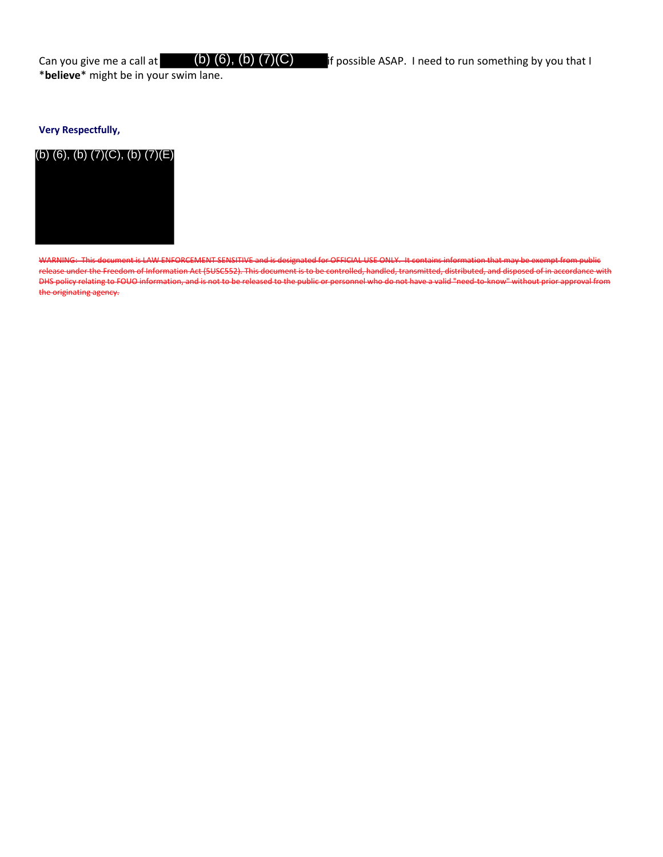\***believe**\* might be in your swim lane.

#### **Very Respectfully,**



WARNING: This document is LAW ENFORCEMENT SENSITIVE and is designated for OFFICIAL USE ONLY. It contains information that may be exempt from public release under the Freedom of Information Act (5USC552). This document is to be controlled, handled, transmitted, distributed, and disposed of in accordance with DHS policy relating to FOUO information, and is not to be released to the public or personnel who do not have a valid "need-to-know" without prior approval from the originating agency.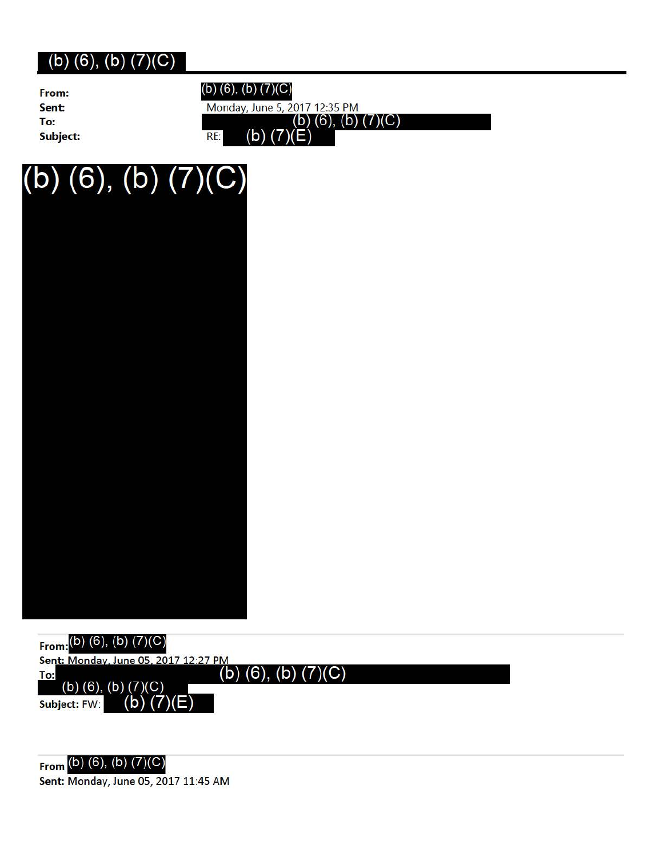**Sent: To: Subject:** 

**From:** (b) (6), (b) (7)(C) Monday, June 5, 2017 12:35 PM  $(\underline{b})$  (6), (b) (7)(C) (b)  $(7)(E)$ RE:

# $(b)$  (6), (b)  $(7)(C)$



**From** (b) (6), (b) (7)(C) **Sent:** Monday, June 05, 2017 11:45 AM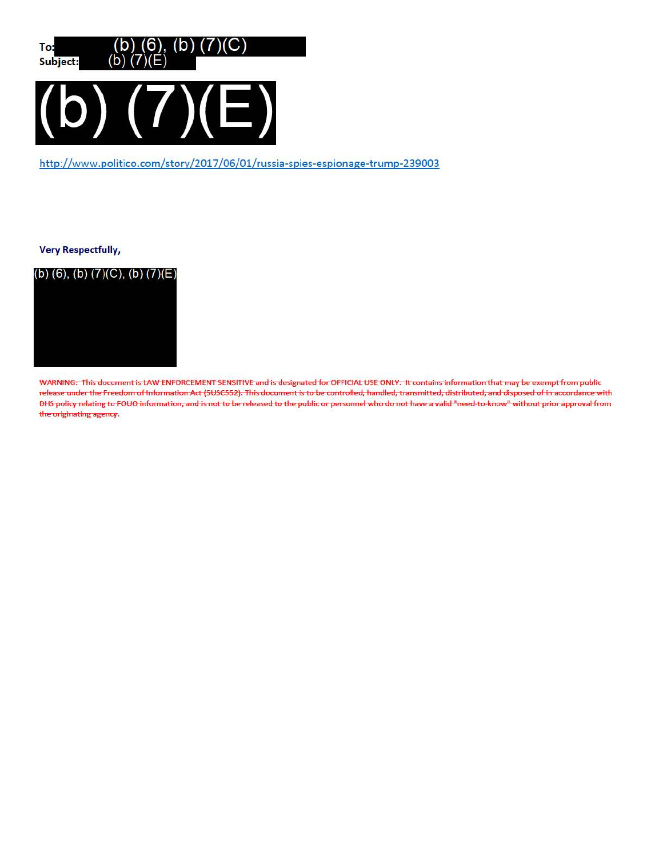

http://www.politico.com/story/2017/06/01/russia-spies-espionage-trump-239003

**Very Respectfully,** 



WARNING: This document is LAW ENFORCEMENT SENSITIVE and is designated for OFFICIAL USE ONLY. It contains information that may be exempt from public release under the Freedom of Information Act (5USC552). This document is to be controlled, handled, transmitted, distributed, and disposed of in accordance with OHS policy relating to FOUO information, and is not to be released to the public or personnel who do not have a valid "need-to-know" without prior approval from the originating agency.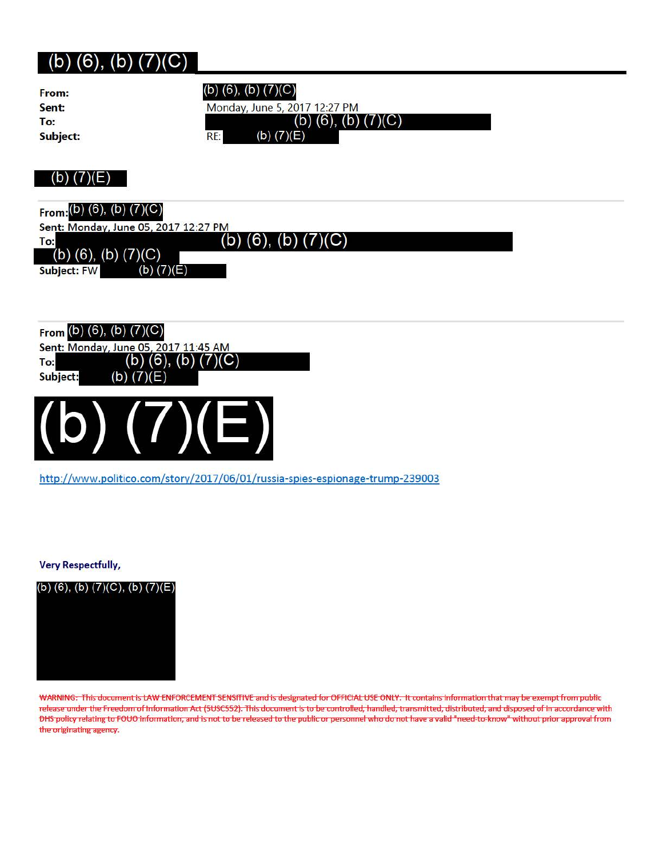| From:                                | (b) (6), (b) $(7)(C)$         |
|--------------------------------------|-------------------------------|
| Sent:                                | Monday, June 5, 2017 12:27 PM |
| To:                                  | (b) $(6)$ , $(b)$ $(7)(C)$    |
| Subject:                             | (b) $(7)(E)$<br>RE:           |
|                                      |                               |
|                                      |                               |
| (b) $(7)(E)$                         |                               |
|                                      |                               |
| From: $(b)$ (6), $(b)$ $(7)(C)$      |                               |
| Sent: Monday, June 05, 2017 12:27 PM |                               |
| To:                                  | (b) $(6)$ , $(b)$ $(7)(C)$    |
| (b) $(6)$ , $(b)$ $(7)(C)$           |                               |
| <b>Subject: FW</b>                   | (b) $(7)(E)$                  |
|                                      |                               |
|                                      |                               |
|                                      |                               |
| From $(b)$ $(6)$ , $(b)$ $(7)(C)$    |                               |
| Sent: Monday, June 05, 2017 11:45 AM |                               |
| (b)<br>To:                           | (6),<br>C)<br>(b)             |
| (b)<br>Subject:                      | (7)(E)                        |
|                                      |                               |
|                                      |                               |
|                                      |                               |
|                                      |                               |
|                                      |                               |

http://www.politico.com/story/2017/06/01/russia-spies-espionage-trump-239003

**Very Respectfully,** 

(b) (6), (b)  $(7)(C)$ , (b)  $(7)(E)$ 



WARNING: This document is LAW ENFORCEMENT SENSITIVE and is designated for OFFICIAL USE ONLY. It contains information that may be exempt from public release under the Freedom of Information Act (5USC552). This document is to be controlled, handled, transmitted, distributed, and disposed of in accordance with OHS policy relating to FOUO information, and is not to be released to the public or personnel who do not have a valid "need-to-know" without prior approval from the originating agency.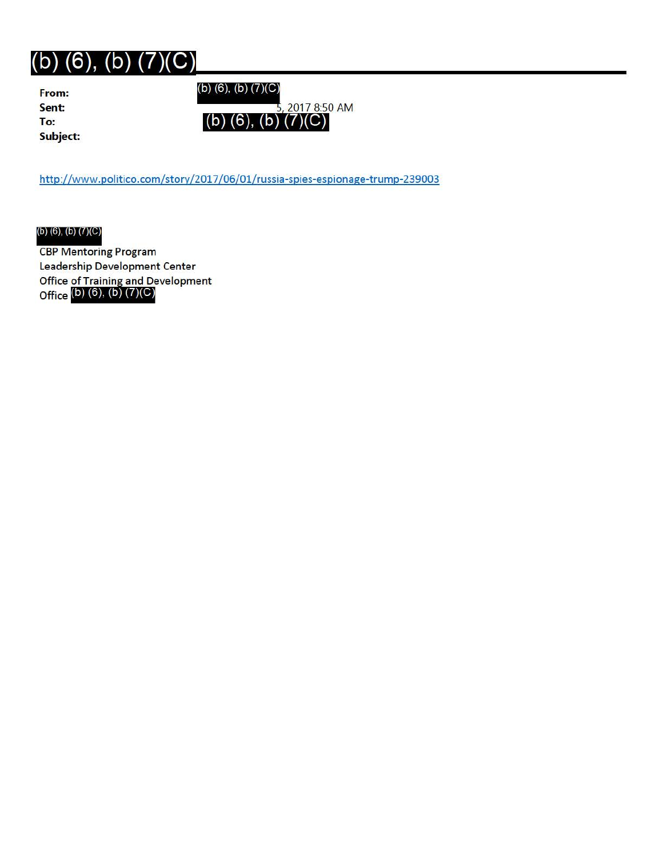**Subject:** 

**From:** (b) (6), (b) (7)(C)

**Sent:** 2017 8:50 AM To: **(b)** (6), (b)

http://www.politico.com/story/2017/06/01/russia-spies-espionage-trump-239003

(b) (6), (b) (7)(C)

CBP Mentoring Program Leadership Development Center Office of Training and Development Office <sup>(b)</sup> (6), (b) (7)(C)